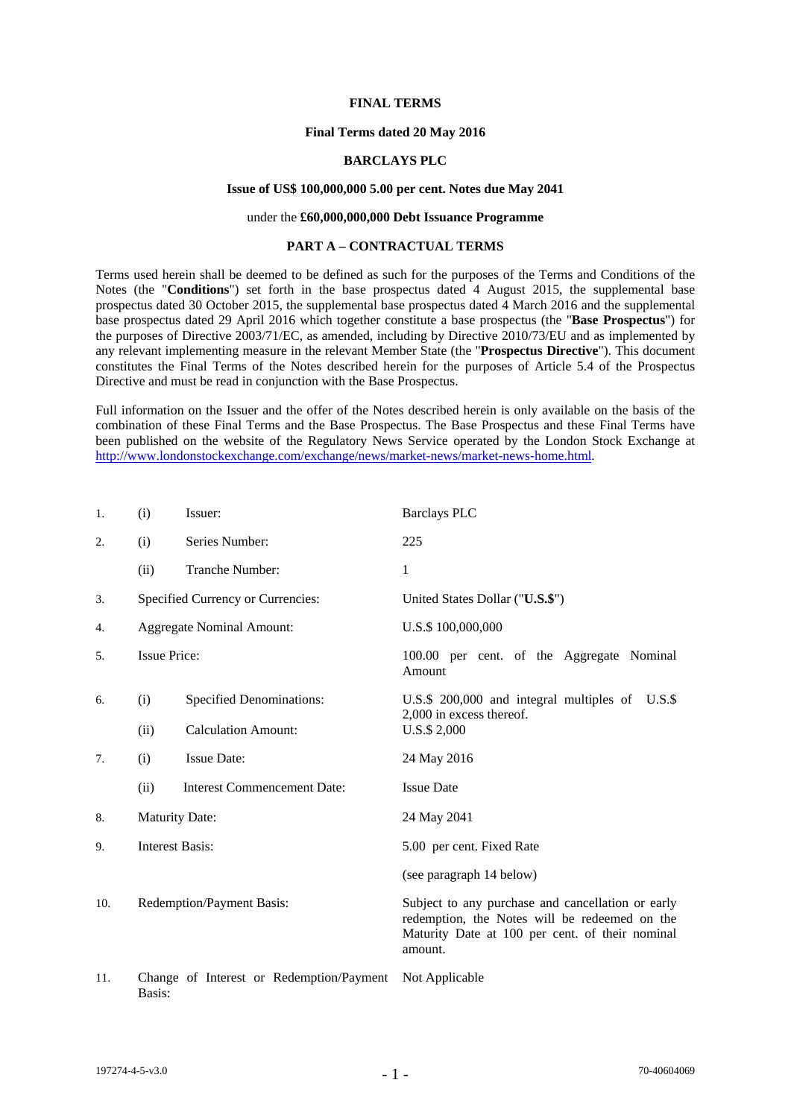## **FINAL TERMS**

## **Final Terms dated 20 May 2016**

## **BARCLAYS PLC**

# **Issue of US\$ 100,000,000 5.00 per cent. Notes due May 2041**

# under the **£60,000,000,000 Debt Issuance Programme**

### **PART A – CONTRACTUAL TERMS**

Terms used herein shall be deemed to be defined as such for the purposes of the Terms and Conditions of the Notes (the "**Conditions**") set forth in the base prospectus dated 4 August 2015, the supplemental base prospectus dated 30 October 2015, the supplemental base prospectus dated 4 March 2016 and the supplemental base prospectus dated 29 April 2016 which together constitute a base prospectus (the "**Base Prospectus**") for the purposes of Directive 2003/71/EC, as amended, including by Directive 2010/73/EU and as implemented by any relevant implementing measure in the relevant Member State (the "**Prospectus Directive**"). This document constitutes the Final Terms of the Notes described herein for the purposes of Article 5.4 of the Prospectus Directive and must be read in conjunction with the Base Prospectus.

Full information on the Issuer and the offer of the Notes described herein is only available on the basis of the combination of these Final Terms and the Base Prospectus. The Base Prospectus and these Final Terms have been published on the website of the Regulatory News Service operated by the London Stock Exchange at http://www.londonstockexchange.com/exchange/news/market-news/market-news-home.html.

| 1.  | (i)                               | Issuer:                                  | <b>Barclays PLC</b>                                                                                                                                              |
|-----|-----------------------------------|------------------------------------------|------------------------------------------------------------------------------------------------------------------------------------------------------------------|
| 2.  | (i)                               | Series Number:                           | 225                                                                                                                                                              |
|     | (ii)                              | Tranche Number:                          | 1                                                                                                                                                                |
| 3.  | Specified Currency or Currencies: |                                          | United States Dollar ("U.S.\$")                                                                                                                                  |
| 4.  |                                   | <b>Aggregate Nominal Amount:</b>         | U.S.\$ 100,000,000                                                                                                                                               |
| 5.  | <b>Issue Price:</b>               |                                          | 100.00 per cent. of the Aggregate Nominal<br>Amount                                                                                                              |
| 6.  | (i)                               | <b>Specified Denominations:</b>          | U.S.\$ 200,000 and integral multiples of U.S.\$                                                                                                                  |
|     | (ii)                              | <b>Calculation Amount:</b>               | 2,000 in excess thereof.<br>U.S.\$ 2,000                                                                                                                         |
| 7.  | (i)                               | <b>Issue Date:</b>                       | 24 May 2016                                                                                                                                                      |
|     | (ii)                              | <b>Interest Commencement Date:</b>       | <b>Issue Date</b>                                                                                                                                                |
| 8.  | <b>Maturity Date:</b>             |                                          | 24 May 2041                                                                                                                                                      |
| 9.  | <b>Interest Basis:</b>            |                                          | 5.00 per cent. Fixed Rate                                                                                                                                        |
|     |                                   |                                          | (see paragraph 14 below)                                                                                                                                         |
| 10. |                                   | Redemption/Payment Basis:                | Subject to any purchase and cancellation or early<br>redemption, the Notes will be redeemed on the<br>Maturity Date at 100 per cent. of their nominal<br>amount. |
| 11. | Basis:                            | Change of Interest or Redemption/Payment | Not Applicable                                                                                                                                                   |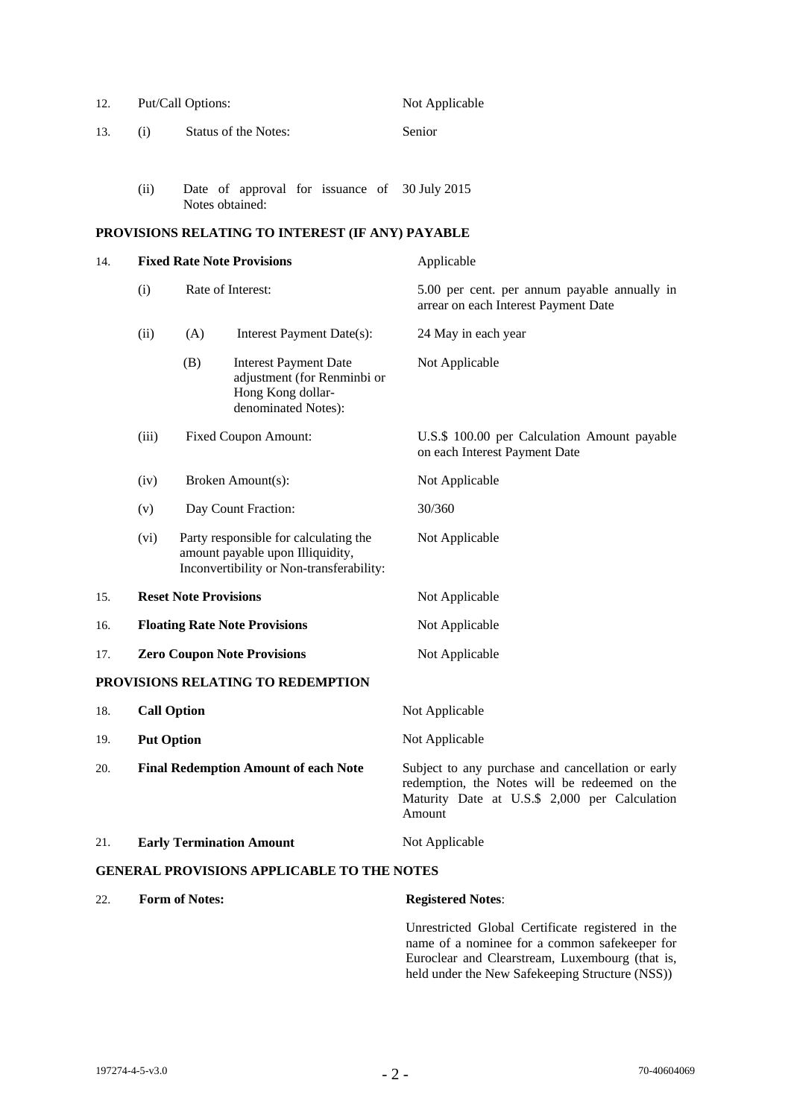| 12.                                               | Put/Call Options:                           |                                 |                                                                                                                       |        | Not Applicable                                                                                                                                                |  |  |
|---------------------------------------------------|---------------------------------------------|---------------------------------|-----------------------------------------------------------------------------------------------------------------------|--------|---------------------------------------------------------------------------------------------------------------------------------------------------------------|--|--|
| 13.                                               | (i)                                         | Status of the Notes:            |                                                                                                                       | Senior |                                                                                                                                                               |  |  |
|                                                   |                                             |                                 |                                                                                                                       |        |                                                                                                                                                               |  |  |
|                                                   | (ii)                                        |                                 | Date of approval for issuance of 30 July 2015<br>Notes obtained:                                                      |        |                                                                                                                                                               |  |  |
| PROVISIONS RELATING TO INTEREST (IF ANY) PAYABLE  |                                             |                                 |                                                                                                                       |        |                                                                                                                                                               |  |  |
| 14.                                               | <b>Fixed Rate Note Provisions</b>           |                                 |                                                                                                                       |        | Applicable                                                                                                                                                    |  |  |
|                                                   | (i)                                         | Rate of Interest:               |                                                                                                                       |        | 5.00 per cent. per annum payable annually in<br>arrear on each Interest Payment Date                                                                          |  |  |
|                                                   | (ii)                                        | (A)                             | Interest Payment Date(s):                                                                                             |        | 24 May in each year                                                                                                                                           |  |  |
|                                                   |                                             | (B)                             | <b>Interest Payment Date</b><br>adjustment (for Renminbi or<br>Hong Kong dollar-<br>denominated Notes):               |        | Not Applicable                                                                                                                                                |  |  |
|                                                   | (iii)                                       | <b>Fixed Coupon Amount:</b>     |                                                                                                                       |        | U.S.\$ 100.00 per Calculation Amount payable<br>on each Interest Payment Date                                                                                 |  |  |
|                                                   | (iv)                                        | Broken Amount(s):               |                                                                                                                       |        | Not Applicable                                                                                                                                                |  |  |
|                                                   | (v)                                         | Day Count Fraction:             |                                                                                                                       |        | 30/360                                                                                                                                                        |  |  |
|                                                   | (vi)                                        |                                 | Party responsible for calculating the<br>amount payable upon Illiquidity,<br>Inconvertibility or Non-transferability: |        | Not Applicable                                                                                                                                                |  |  |
| 15.                                               | <b>Reset Note Provisions</b>                |                                 |                                                                                                                       |        | Not Applicable                                                                                                                                                |  |  |
| 16.                                               | <b>Floating Rate Note Provisions</b>        |                                 |                                                                                                                       |        | Not Applicable                                                                                                                                                |  |  |
| 17.                                               | <b>Zero Coupon Note Provisions</b>          |                                 |                                                                                                                       |        | Not Applicable                                                                                                                                                |  |  |
|                                                   |                                             |                                 | PROVISIONS RELATING TO REDEMPTION                                                                                     |        |                                                                                                                                                               |  |  |
| 18.                                               |                                             | <b>Call Option</b>              |                                                                                                                       |        | Not Applicable                                                                                                                                                |  |  |
| 19.                                               | <b>Put Option</b>                           |                                 |                                                                                                                       |        | Not Applicable                                                                                                                                                |  |  |
| 20.                                               | <b>Final Redemption Amount of each Note</b> |                                 |                                                                                                                       |        | Subject to any purchase and cancellation or early<br>redemption, the Notes will be redeemed on the<br>Maturity Date at U.S.\$ 2,000 per Calculation<br>Amount |  |  |
| 21.                                               |                                             | <b>Early Termination Amount</b> |                                                                                                                       |        | Not Applicable                                                                                                                                                |  |  |
| <b>GENERAL PROVISIONS APPLICABLE TO THE NOTES</b> |                                             |                                 |                                                                                                                       |        |                                                                                                                                                               |  |  |
| 22.                                               | <b>Form of Notes:</b>                       |                                 |                                                                                                                       |        | <b>Registered Notes:</b>                                                                                                                                      |  |  |

 Unrestricted Global Certificate registered in the name of a nominee for a common safekeeper for Euroclear and Clearstream, Luxembourg (that is, held under the New Safekeeping Structure (NSS))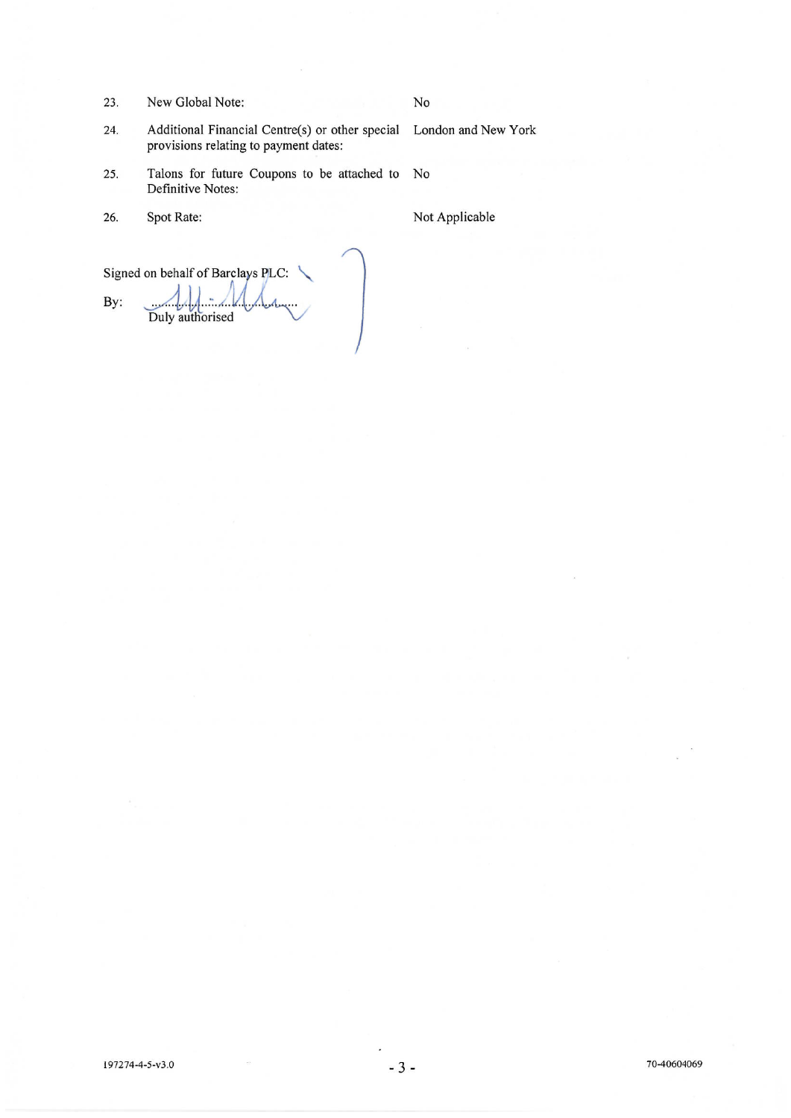New Global Note: 23.

# No

24. Additional Financial Centre(s) or other special London and New York provisions relating to payment dates:

- Talons for future Coupons to be attached to No 25. Definitive Notes:
- 26. Spot Rate:

Not Applicable

Signed on behalf of Barclays PLC: By: Duly authorised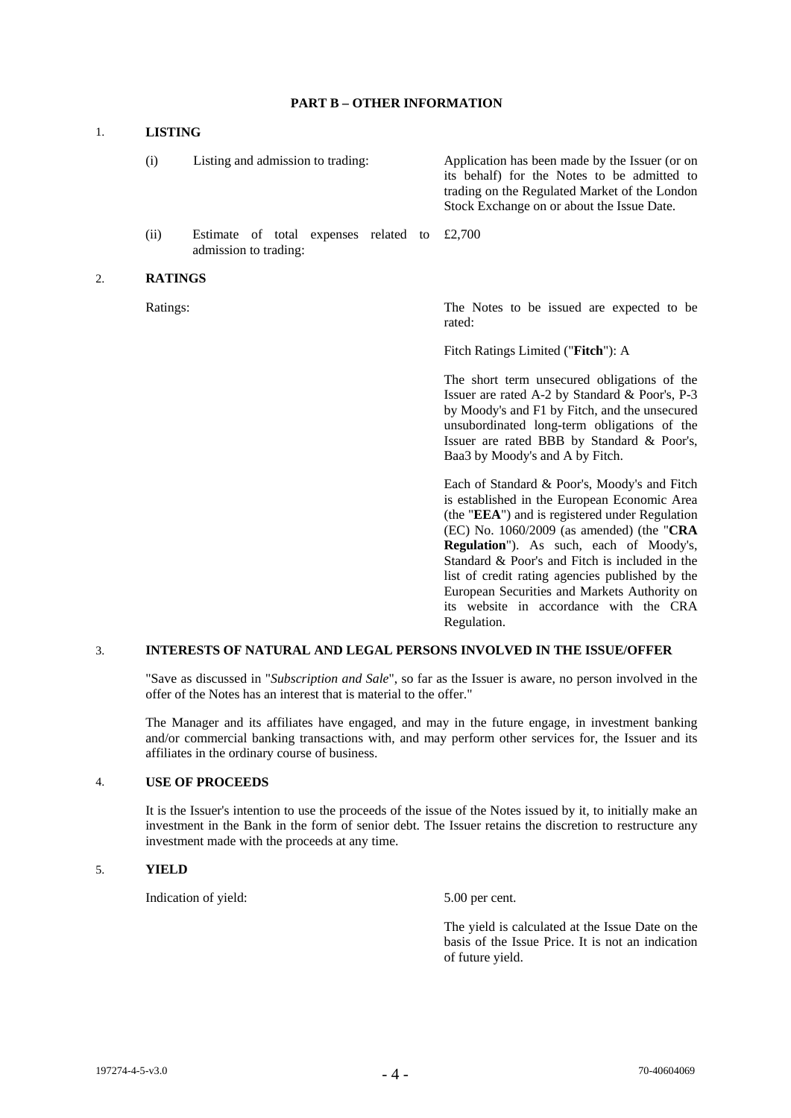## **PART B – OTHER INFORMATION**

## 1. **LISTING**

 (i) Listing and admission to trading: Application has been made by the Issuer (or on its behalf) for the Notes to be admitted to trading on the Regulated Market of the London Stock Exchange on or about the Issue Date.

 (ii) Estimate of total expenses related to admission to trading: £2,700

#### 2. **RATINGS**

Ratings: The Notes to be issued are expected to be rated:

Fitch Ratings Limited ("**Fitch**"): A

 The short term unsecured obligations of the Issuer are rated A-2 by Standard & Poor's, P-3 by Moody's and F1 by Fitch, and the unsecured unsubordinated long-term obligations of the Issuer are rated BBB by Standard & Poor's, Baa3 by Moody's and A by Fitch.

 Each of Standard & Poor's, Moody's and Fitch is established in the European Economic Area (the "**EEA**") and is registered under Regulation (EC) No. 1060/2009 (as amended) (the "**CRA Regulation**"). As such, each of Moody's, Standard & Poor's and Fitch is included in the list of credit rating agencies published by the European Securities and Markets Authority on its website in accordance with the CRA Regulation.

# 3. **INTERESTS OF NATURAL AND LEGAL PERSONS INVOLVED IN THE ISSUE/OFFER**

 "Save as discussed in "*Subscription and Sale*", so far as the Issuer is aware, no person involved in the offer of the Notes has an interest that is material to the offer."

The Manager and its affiliates have engaged, and may in the future engage, in investment banking and/or commercial banking transactions with, and may perform other services for, the Issuer and its affiliates in the ordinary course of business.

## 4. **USE OF PROCEEDS**

It is the Issuer's intention to use the proceeds of the issue of the Notes issued by it, to initially make an investment in the Bank in the form of senior debt. The Issuer retains the discretion to restructure any investment made with the proceeds at any time.

#### 5. **YIELD**

Indication of yield: 5.00 per cent.

 The yield is calculated at the Issue Date on the basis of the Issue Price. It is not an indication of future yield.